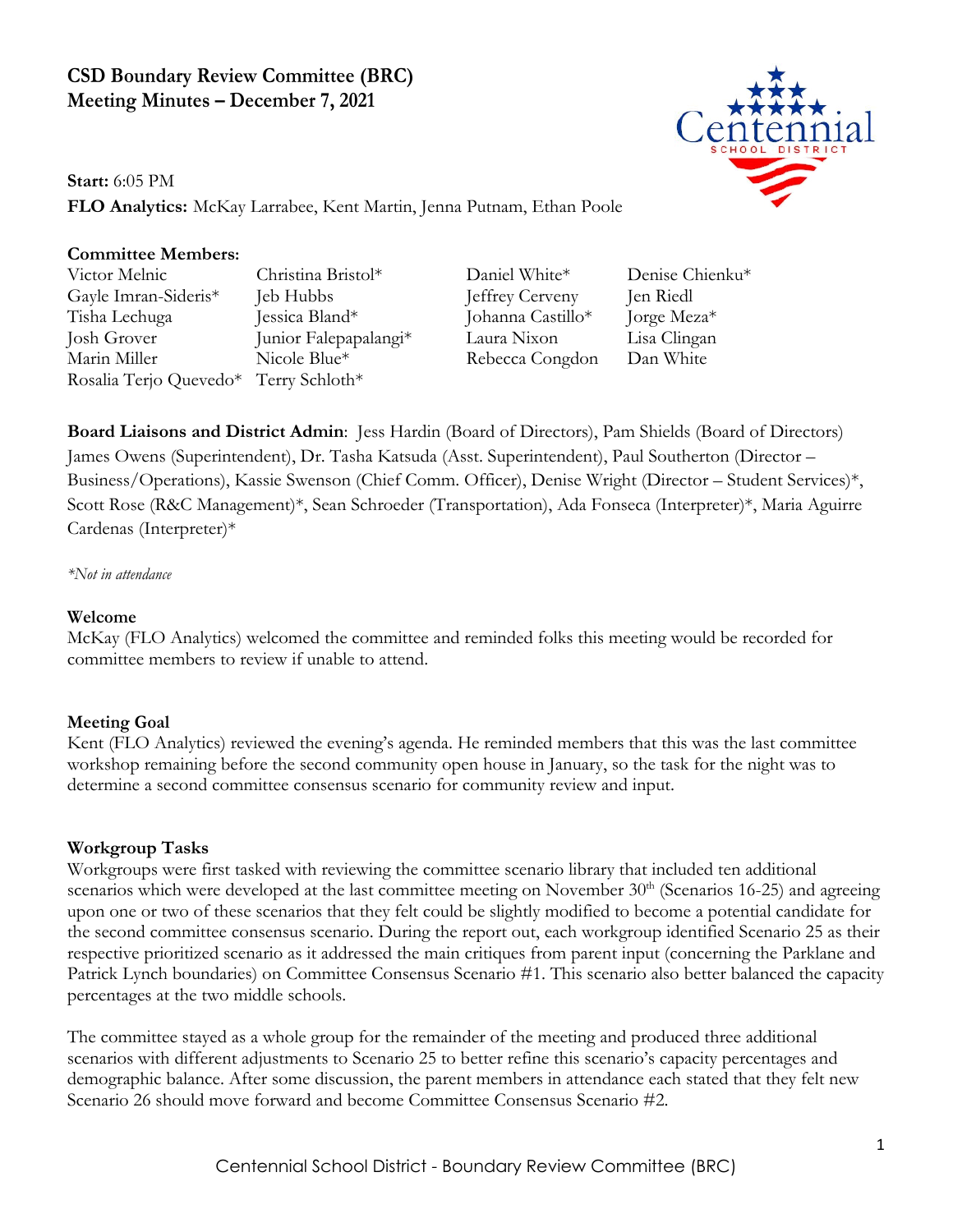# **CSD Boundary Review Committee (BRC) Meeting Minutes – December 7, 2021**



**Start:** 6:05 PM

**FLO Analytics:** McKay Larrabee, Kent Martin, Jenna Putnam, Ethan Poole

## **Committee Members:**

Victor Melnic Christina Bristol\* Daniel White\* Denise Chienku\* Gayle Imran-Sideris\* Jeb Hubbs Jeffrey Cerveny Jen Riedl Tisha Lechuga Jessica Bland\* Johanna Castillo\* Jorge Meza\* Josh Grover Junior Falepapalangi\* Laura Nixon Lisa Clingan Marin Miller Nicole Blue\* Rebecca Congdon Dan White Rosalia Terjo Quevedo\* Terry Schloth\*

**Board Liaisons and District Admin**: Jess Hardin (Board of Directors), Pam Shields (Board of Directors) James Owens (Superintendent), Dr. Tasha Katsuda (Asst. Superintendent), Paul Southerton (Director – Business/Operations), Kassie Swenson (Chief Comm. Officer), Denise Wright (Director – Student Services)\*, Scott Rose (R&C Management)\*, Sean Schroeder (Transportation), Ada Fonseca (Interpreter)\*, Maria Aguirre Cardenas (Interpreter)\*

*\*Not in attendance*

#### **Welcome**

McKay (FLO Analytics) welcomed the committee and reminded folks this meeting would be recorded for committee members to review if unable to attend.

## **Meeting Goal**

Kent (FLO Analytics) reviewed the evening's agenda. He reminded members that this was the last committee workshop remaining before the second community open house in January, so the task for the night was to determine a second committee consensus scenario for community review and input.

## **Workgroup Tasks**

Workgroups were first tasked with reviewing the committee scenario library that included ten additional scenarios which were developed at the last committee meeting on November  $30<sup>th</sup>$  (Scenarios 16-25) and agreeing upon one or two of these scenarios that they felt could be slightly modified to become a potential candidate for the second committee consensus scenario. During the report out, each workgroup identified Scenario 25 as their respective prioritized scenario as it addressed the main critiques from parent input (concerning the Parklane and Patrick Lynch boundaries) on Committee Consensus Scenario #1. This scenario also better balanced the capacity percentages at the two middle schools.

The committee stayed as a whole group for the remainder of the meeting and produced three additional scenarios with different adjustments to Scenario 25 to better refine this scenario's capacity percentages and demographic balance. After some discussion, the parent members in attendance each stated that they felt new Scenario 26 should move forward and become Committee Consensus Scenario #2.